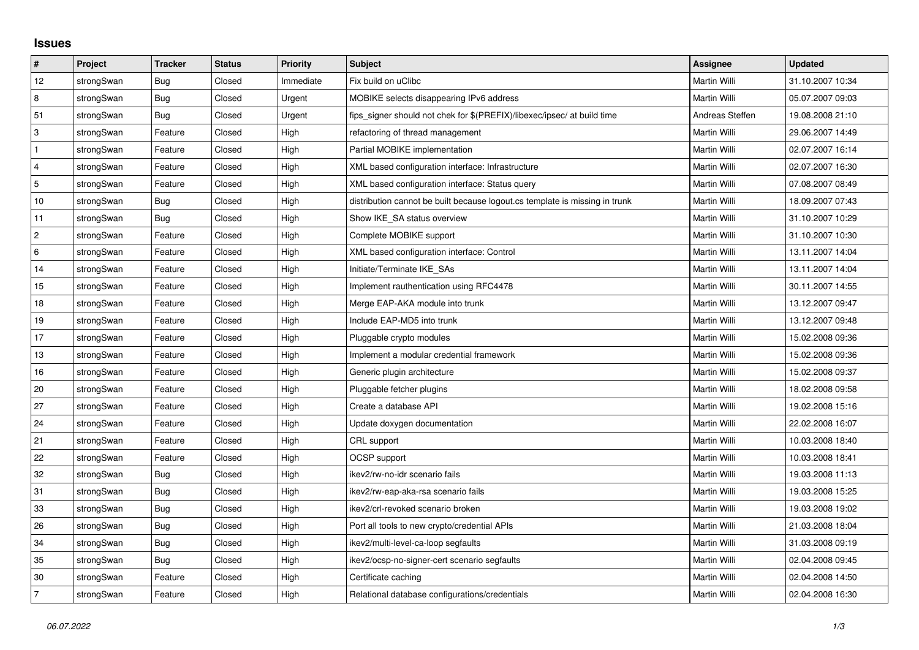## **Issues**

| #               | Project    | <b>Tracker</b> | <b>Status</b> | Priority  | Subject                                                                     | <b>Assignee</b> | <b>Updated</b>   |
|-----------------|------------|----------------|---------------|-----------|-----------------------------------------------------------------------------|-----------------|------------------|
| 12              | strongSwan | <b>Bug</b>     | Closed        | Immediate | Fix build on uClibc                                                         | Martin Willi    | 31.10.2007 10:34 |
| 8               | strongSwan | Bug            | Closed        | Urgent    | MOBIKE selects disappearing IPv6 address                                    | Martin Willi    | 05.07.2007 09:03 |
| 51              | strongSwan | Bug            | Closed        | Urgent    | fips_signer should not chek for \$(PREFIX)/libexec/ipsec/ at build time     | Andreas Steffen | 19.08.2008 21:10 |
| 3               | strongSwan | Feature        | Closed        | High      | refactoring of thread management                                            | Martin Willi    | 29.06.2007 14:49 |
| $\mathbf{1}$    | strongSwan | Feature        | Closed        | High      | Partial MOBIKE implementation                                               | Martin Willi    | 02.07.2007 16:14 |
| $\overline{4}$  | strongSwan | Feature        | Closed        | High      | XML based configuration interface: Infrastructure                           | Martin Willi    | 02.07.2007 16:30 |
| 5               | strongSwan | Feature        | Closed        | High      | XML based configuration interface: Status query                             | Martin Willi    | 07.08.2007 08:49 |
| $10$            | strongSwan | <b>Bug</b>     | Closed        | High      | distribution cannot be built because logout.cs template is missing in trunk | Martin Willi    | 18.09.2007 07:43 |
| 11              | strongSwan | Bug            | Closed        | High      | Show IKE SA status overview                                                 | Martin Willi    | 31.10.2007 10:29 |
| $\overline{2}$  | strongSwan | Feature        | Closed        | High      | Complete MOBIKE support                                                     | Martin Willi    | 31.10.2007 10:30 |
| $6\phantom{.}6$ | strongSwan | Feature        | Closed        | High      | XML based configuration interface: Control                                  | Martin Willi    | 13.11.2007 14:04 |
| 14              | strongSwan | Feature        | Closed        | High      | Initiate/Terminate IKE SAs                                                  | Martin Willi    | 13.11.2007 14:04 |
| 15              | strongSwan | Feature        | Closed        | High      | Implement rauthentication using RFC4478                                     | Martin Willi    | 30.11.2007 14:55 |
| 18              | strongSwan | Feature        | Closed        | High      | Merge EAP-AKA module into trunk                                             | Martin Willi    | 13.12.2007 09:47 |
| 19              | strongSwan | Feature        | Closed        | High      | Include EAP-MD5 into trunk                                                  | Martin Willi    | 13.12.2007 09:48 |
| 17              | strongSwan | Feature        | Closed        | High      | Pluggable crypto modules                                                    | Martin Willi    | 15.02.2008 09:36 |
| 13              | strongSwan | Feature        | Closed        | High      | Implement a modular credential framework                                    | Martin Willi    | 15.02.2008 09:36 |
| 16              | strongSwan | Feature        | Closed        | High      | Generic plugin architecture                                                 | Martin Willi    | 15.02.2008 09:37 |
| 20              | strongSwan | Feature        | Closed        | High      | Pluggable fetcher plugins                                                   | Martin Willi    | 18.02.2008 09:58 |
| 27              | strongSwan | Feature        | Closed        | High      | Create a database API                                                       | Martin Willi    | 19.02.2008 15:16 |
| 24              | strongSwan | Feature        | Closed        | High      | Update doxygen documentation                                                | Martin Willi    | 22.02.2008 16:07 |
| 21              | strongSwan | Feature        | Closed        | High      | CRL support                                                                 | Martin Willi    | 10.03.2008 18:40 |
| 22              | strongSwan | Feature        | Closed        | High      | OCSP support                                                                | Martin Willi    | 10.03.2008 18:41 |
| 32              | strongSwan | <b>Bug</b>     | Closed        | High      | ikev2/rw-no-idr scenario fails                                              | Martin Willi    | 19.03.2008 11:13 |
| 31              | strongSwan | Bug            | Closed        | High      | ikev2/rw-eap-aka-rsa scenario fails                                         | Martin Willi    | 19.03.2008 15:25 |
| 33              | strongSwan | Bug            | Closed        | High      | ikev2/crl-revoked scenario broken                                           | Martin Willi    | 19.03.2008 19:02 |
| 26              | strongSwan | Bug            | Closed        | High      | Port all tools to new crypto/credential APIs                                | Martin Willi    | 21.03.2008 18:04 |
| 34              | strongSwan | <b>Bug</b>     | Closed        | High      | ikev2/multi-level-ca-loop segfaults                                         | Martin Willi    | 31.03.2008 09:19 |
| 35              | strongSwan | Bug            | Closed        | High      | ikev2/ocsp-no-signer-cert scenario segfaults                                | Martin Willi    | 02.04.2008 09:45 |
| 30              | strongSwan | Feature        | Closed        | High      | Certificate caching                                                         | Martin Willi    | 02.04.2008 14:50 |
| 7               | strongSwan | Feature        | Closed        | High      | Relational database configurations/credentials                              | Martin Willi    | 02.04.2008 16:30 |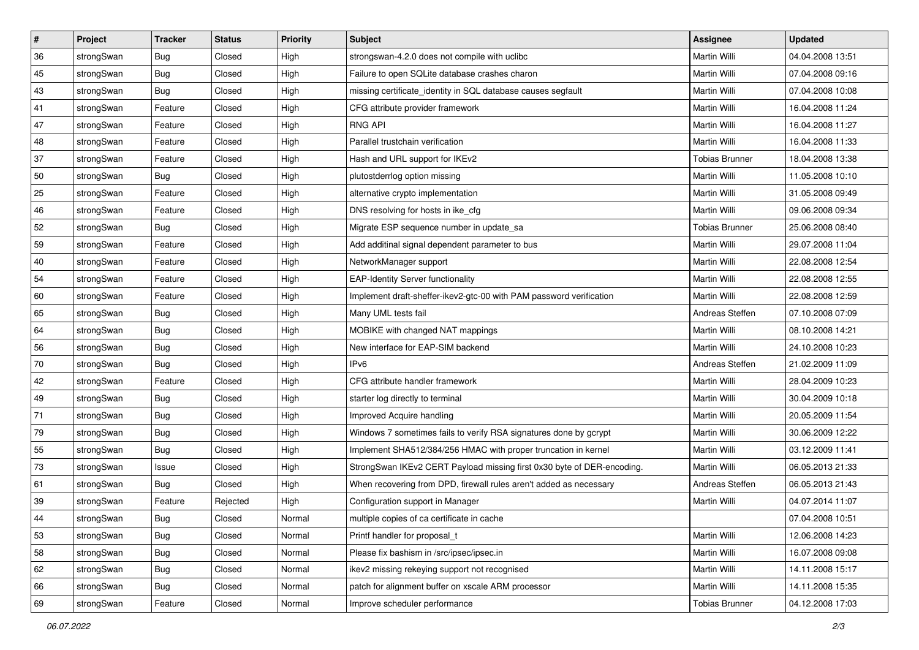| $\pmb{\#}$ | Project    | <b>Tracker</b> | <b>Status</b> | <b>Priority</b> | <b>Subject</b>                                                         | <b>Assignee</b>       | <b>Updated</b>   |
|------------|------------|----------------|---------------|-----------------|------------------------------------------------------------------------|-----------------------|------------------|
| 36         | strongSwan | Bug            | Closed        | High            | strongswan-4.2.0 does not compile with uclibe                          | Martin Willi          | 04.04.2008 13:51 |
| 45         | strongSwan | Bug            | Closed        | High            | Failure to open SQLite database crashes charon                         | Martin Willi          | 07.04.2008 09:16 |
| 43         | strongSwan | Bug            | Closed        | High            | missing certificate_identity in SQL database causes segfault           | Martin Willi          | 07.04.2008 10:08 |
| 41         | strongSwan | Feature        | Closed        | High            | CFG attribute provider framework                                       | Martin Willi          | 16.04.2008 11:24 |
| 47         | strongSwan | Feature        | Closed        | High            | <b>RNG API</b>                                                         | Martin Willi          | 16.04.2008 11:27 |
| 48         | strongSwan | Feature        | Closed        | High            | Parallel trustchain verification                                       | Martin Willi          | 16.04.2008 11:33 |
| 37         | strongSwan | Feature        | Closed        | High            | Hash and URL support for IKEv2                                         | <b>Tobias Brunner</b> | 18.04.2008 13:38 |
| 50         | strongSwan | Bug            | Closed        | High            | plutostderrlog option missing                                          | Martin Willi          | 11.05.2008 10:10 |
| 25         | strongSwan | Feature        | Closed        | High            | alternative crypto implementation                                      | Martin Willi          | 31.05.2008 09:49 |
| 46         | strongSwan | Feature        | Closed        | High            | DNS resolving for hosts in ike_cfg                                     | Martin Willi          | 09.06.2008 09:34 |
| 52         | strongSwan | Bug            | Closed        | High            | Migrate ESP sequence number in update_sa                               | <b>Tobias Brunner</b> | 25.06.2008 08:40 |
| 59         | strongSwan | Feature        | Closed        | High            | Add additinal signal dependent parameter to bus                        | Martin Willi          | 29.07.2008 11:04 |
| 40         | strongSwan | Feature        | Closed        | High            | NetworkManager support                                                 | Martin Willi          | 22.08.2008 12:54 |
| 54         | strongSwan | Feature        | Closed        | High            | <b>EAP-Identity Server functionality</b>                               | Martin Willi          | 22.08.2008 12:55 |
| 60         | strongSwan | Feature        | Closed        | High            | Implement draft-sheffer-ikev2-gtc-00 with PAM password verification    | Martin Willi          | 22.08.2008 12:59 |
| 65         | strongSwan | Bug            | Closed        | High            | Many UML tests fail                                                    | Andreas Steffen       | 07.10.2008 07:09 |
| 64         | strongSwan | Bug            | Closed        | High            | MOBIKE with changed NAT mappings                                       | Martin Willi          | 08.10.2008 14:21 |
| 56         | strongSwan | Bug            | Closed        | High            | New interface for EAP-SIM backend                                      | Martin Willi          | 24.10.2008 10:23 |
| 70         | strongSwan | Bug            | Closed        | High            | IP <sub>v6</sub>                                                       | Andreas Steffen       | 21.02.2009 11:09 |
| 42         | strongSwan | Feature        | Closed        | High            | CFG attribute handler framework                                        | Martin Willi          | 28.04.2009 10:23 |
| 49         | strongSwan | Bug            | Closed        | High            | starter log directly to terminal                                       | Martin Willi          | 30.04.2009 10:18 |
| 71         | strongSwan | Bug            | Closed        | High            | Improved Acquire handling                                              | Martin Willi          | 20.05.2009 11:54 |
| 79         | strongSwan | Bug            | Closed        | High            | Windows 7 sometimes fails to verify RSA signatures done by gcrypt      | Martin Willi          | 30.06.2009 12:22 |
| 55         | strongSwan | Bug            | Closed        | High            | Implement SHA512/384/256 HMAC with proper truncation in kernel         | Martin Willi          | 03.12.2009 11:41 |
| 73         | strongSwan | Issue          | Closed        | High            | StrongSwan IKEv2 CERT Payload missing first 0x30 byte of DER-encoding. | Martin Willi          | 06.05.2013 21:33 |
| 61         | strongSwan | Bug            | Closed        | High            | When recovering from DPD, firewall rules aren't added as necessary     | Andreas Steffen       | 06.05.2013 21:43 |
| 39         | strongSwan | Feature        | Rejected      | High            | Configuration support in Manager                                       | Martin Willi          | 04.07.2014 11:07 |
| 44         | strongSwan | <b>Bug</b>     | Closed        | Normal          | multiple copies of ca certificate in cache                             |                       | 07.04.2008 10:51 |
| 53         | strongSwan | Bug            | Closed        | Normal          | Printf handler for proposal t                                          | Martin Willi          | 12.06.2008 14:23 |
| 58         | strongSwan | Bug            | Closed        | Normal          | Please fix bashism in /src/ipsec/ipsec.in                              | Martin Willi          | 16.07.2008 09:08 |
| 62         | strongSwan | Bug            | Closed        | Normal          | ikev2 missing rekeying support not recognised                          | Martin Willi          | 14.11.2008 15:17 |
| 66         | strongSwan | Bug            | Closed        | Normal          | patch for alignment buffer on xscale ARM processor                     | Martin Willi          | 14.11.2008 15:35 |
| 69         | strongSwan | Feature        | Closed        | Normal          | Improve scheduler performance                                          | <b>Tobias Brunner</b> | 04.12.2008 17:03 |